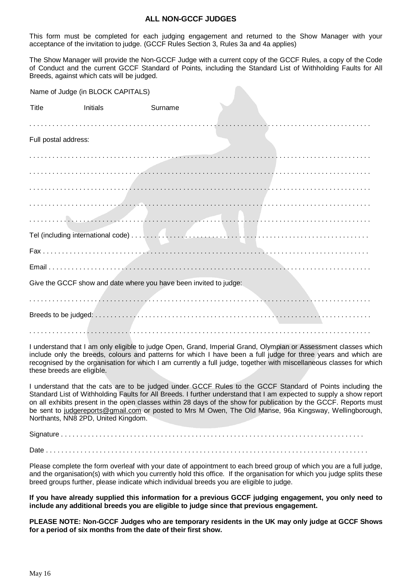## **ALL NON-GCCF JUDGES**

This form must be completed for each judging engagement and returned to the Show Manager with your acceptance of the invitation to judge. (GCCF Rules Section 3, Rules 3a and 4a applies)

The Show Manager will provide the Non-GCCF Judge with a current copy of the GCCF Rules, a copy of the Code of Conduct and the current GCCF Standard of Points, including the Standard List of Withholding Faults for All Breeds, against which cats will be judged.

Name of Judge (in BLOCK CAPITALS)

| Title                | <b>Initials</b>                                                   | Surname |  |  |
|----------------------|-------------------------------------------------------------------|---------|--|--|
| Full postal address: |                                                                   |         |  |  |
|                      |                                                                   |         |  |  |
|                      |                                                                   |         |  |  |
|                      |                                                                   |         |  |  |
|                      |                                                                   |         |  |  |
|                      |                                                                   |         |  |  |
|                      | Give the GCCF show and date where you have been invited to judge: |         |  |  |
|                      |                                                                   |         |  |  |
|                      |                                                                   |         |  |  |
|                      |                                                                   |         |  |  |

I understand that I am only eligible to judge Open, Grand, Imperial Grand, Olympian or Assessment classes which include only the breeds, colours and patterns for which I have been a full judge for three years and which are recognised by the organisation for which I am currently a full judge, together with miscellaneous classes for which these breeds are eligible.

I understand that the cats are to be judged under GCCF Rules to the GCCF Standard of Points including the Standard List of Withholding Faults for All Breeds. I further understand that I am expected to supply a show report on all exhibits present in the open classes within 28 days of the show for publication by the GCCF. Reports must be sent to judgereports@gmail.com or posted to Mrs M Owen, The Old Manse, 96a Kingsway, Wellingborough, Northants, NN8 2PD, United Kingdom.

Signature . . . . . . . . . . . . . . . . . . . . . . . . . . . . . . . . . . . . . . . . . . . . . . . . . . . . . . . . . . . . . . . . . . . . . . . . . . . . . . .

Date . . . . . . . . . . . . . . . . . . . . . . . . . . . . . . . . . . . . . . . . . . . . . . . . . . . . . . . . . . . . . . . . . . . . . . . . . . . . . . . . . . . .

Please complete the form overleaf with your date of appointment to each breed group of which you are a full judge, and the organisation(s) with which you currently hold this office. If the organisation for which you judge splits these breed groups further, please indicate which individual breeds you are eligible to judge.

**If you have already supplied this information for a previous GCCF judging engagement, you only need to include any additional breeds you are eligible to judge since that previous engagement.** 

**PLEASE NOTE: Non-GCCF Judges who are temporary residents in the UK may only judge at GCCF Shows for a period of six months from the date of their first show.**